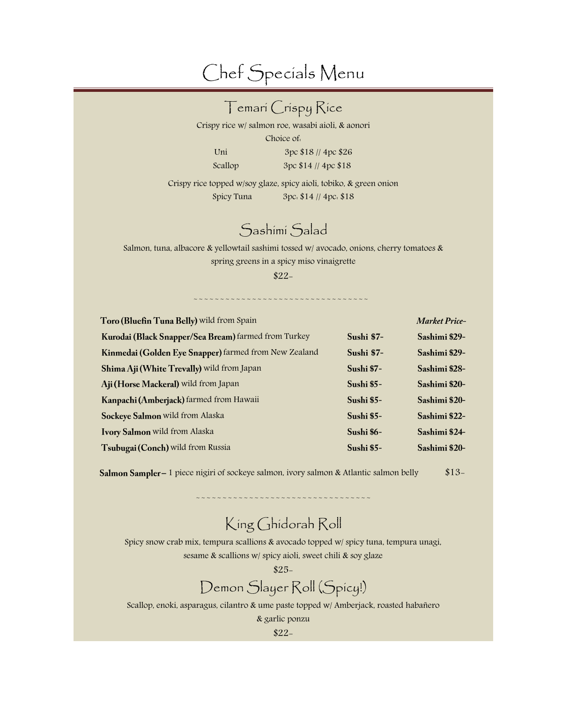# Chef Specials Menu

|                                                                                          | <b>∏emarí Críspy Ríce</b>                           |                   |                      |
|------------------------------------------------------------------------------------------|-----------------------------------------------------|-------------------|----------------------|
| Crispy rice w/ salmon roe, wasabi aioli, & aonori                                        |                                                     |                   |                      |
|                                                                                          | Choice of.                                          |                   |                      |
| Uni                                                                                      | 3pc \$18 // 4pc \$26                                |                   |                      |
| Scallop                                                                                  | 3pc \$14 // 4pc \$18                                |                   |                      |
| Crispy rice topped w/soy glaze, spicy aioli, tobiko, & green onion                       |                                                     |                   |                      |
| Spicy Tuna                                                                               | $3pc. $14$ // $4pc. $18$                            |                   |                      |
|                                                                                          | Sashimi Salad                                       |                   |                      |
| Salmon, tuna, albacore & yellowtail sashimi tossed w/ avocado, onions, cherry tomatoes & | spring greens in a spicy miso vinaigrette<br>$$22-$ |                   |                      |
| Toro (Bluefin Tuna Belly) wild from Spain                                                |                                                     |                   | <b>Market Price-</b> |
| Kurodai (Black Snapper/Sea Bream) farmed from Turkey                                     |                                                     | Sushi \$7-        | Sashimi \$29-        |
| Kinmedai (Golden Eye Snapper) farmed from New Zealand                                    |                                                     | Sushi \$7-        | Sashimi \$29-        |
| Shima Aji (White Trevally) wild from Japan                                               |                                                     | Sushi \$7-        | Sashimi \$28-        |
| Aji (Horse Mackeral) wild from Japan                                                     |                                                     | Sushi \$5-        | Sashimi \$20-        |
| Kanpachi (Amberjack) farmed from Hawaii                                                  |                                                     | Sushi \$5-        | Sashimi \$20-        |
| Sockeye Salmon wild from Alaska                                                          |                                                     | Sushi \$5-        | Sashimi \$22-        |
| Ivory Salmon wild from Alaska                                                            |                                                     | Sushi \$6-        | Sashimi \$24-        |
| Tsubugai (Conch) wild from Russia                                                        |                                                     | <b>Sushi \$5-</b> | Sashimi \$20-        |

Salmon Sampler - 1 piece nigiri of sockeye salmon, ivory salmon & Atlantic salmon belly \$13-

# King Ghidorah Roll

~~~~~~~~

Spicy snow crab mix, tempura scallions & avocado topped w/ spicy tuna, tempura unagi, sesame & scallions w/ spicy aioli, sweet chili & soy glaze

\$25-

# Demon Slayer Roll (Spicy!)

Scallop, enoki, asparagus, cilantro & ume paste topped w/ Amberjack, roasted habañero

& garlic ponzu

\$22-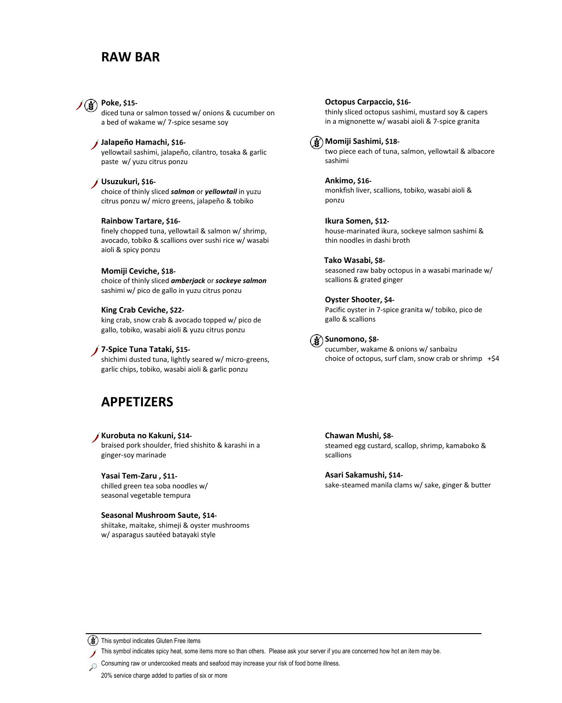# **RAW BAR**



diced tuna or salmon tossed w/ onions & cucumber on a bed of wakame w/ 7-spice sesame soy

### **Jalapeño Hamachi, \$16-**

yellowtail sashimi, jalapeño, cilantro, tosaka & garlic paste w/ yuzu citrus ponzu

### **Usuzukuri, \$16-**

choice of thinly sliced *salmon* or *yellowtail* in yuzu citrus ponzu w/ micro greens, jalapeño & tobiko

### **Rainbow Tartare, \$16-**

finely chopped tuna, yellowtail & salmon w/ shrimp, avocado, tobiko & scallions over sushi rice w/ wasabi aioli & spicy ponzu

### **Momiji Ceviche, \$18-**

choice of thinly sliced *amberjack* or *sockeye salmon* sashimi w/ pico de gallo in yuzu citrus ponzu

### **King Crab Ceviche, \$22-**

king crab, snow crab & avocado topped w/ pico de gallo, tobiko, wasabi aioli & yuzu citrus ponzu

### **7-Spice Tuna Tataki, \$15-**

shichimi dusted tuna, lightly seared w/ micro-greens, garlic chips, tobiko, wasabi aioli & garlic ponzu

# **APPETIZERS**

### **Kurobuta no Kakuni, \$14-**

braised pork shoulder, fried shishito & karashi in a ginger-soy marinade

### **Yasai Tem-Zaru , \$11-**

chilled green tea soba noodles w/ seasonal vegetable tempura

#### **Seasonal Mushroom Saute, \$14-**

shiitake, maitake, shimeji & oyster mushrooms w/ asparagus sautéed batayaki style

#### **Octopus Carpaccio, \$16-**

thinly sliced octopus sashimi, mustard soy & capers in a mignonette w/ wasabi aioli & 7-spice granita



sashimi

### **Momiji Sashimi, \$18** two piece each of tuna, salmon, yellowtail & albacore

**Ankimo, \$16** monkfish liver, scallions, tobiko, wasabi aioli & ponzu

**Ikura Somen, \$12** house-marinated ikura, sockeye salmon sashimi & thin noodles in dashi broth

#### **Tako Wasabi, \$8-**

seasoned raw baby octopus in a wasabi marinade w/ scallions & grated ginger

### **Oyster Shooter, \$4-**

 Pacific oyster in 7-spice granita w/ tobiko, pico de gallo & scallions



# **Sunomono, \$8-**

cucumber, wakame & onions w/ sanbaizu choice of octopus, surf clam, snow crab or shrimp  $+§4$ 

**Chawan Mushi, \$8** steamed egg custard, scallop, shrimp, kamaboko & scallions

**Asari Sakamushi, \$14-**

sake-steamed manila clams w/ sake, ginger & butter

(3) This symbol indicates Gluten Free items

This symbol indicates spicy heat, some items more so than others. Please ask your server if you are concerned how hot an item may be.

Consuming raw or undercooked meats and seafood may increase your risk of food borne illness.  $\Omega$ 

20% service charge added to parties of six or more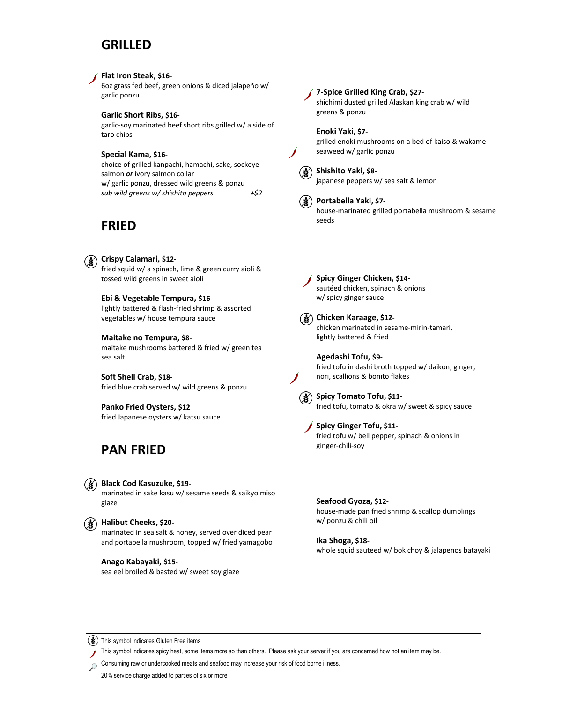# **GRILLED**

### **Flat Iron Steak, \$16-**

6oz grass fed beef, green onions & diced jalapeño w/ garlic ponzu

### **Garlic Short Ribs, \$16-**

garlic-soy marinated beef short ribs grilled w/ a side of taro chips

#### **Special Kama, \$16-**

choice of grilled kanpachi, hamachi, sake, sockeye salmon *or* ivory salmon collar w/ garlic ponzu, dressed wild greens & ponzu *sub wild greens w/ shishito peppers +\$2*

# **FRIED**

# **Crispy Calamari, \$12-**

fried squid w/ a spinach, lime & green curry aioli & tossed wild greens in sweet aioli

## **Ebi & Vegetable Tempura, \$16-**

lightly battered & flash-fried shrimp & assorted vegetables w/ house tempura sauce

### **Maitake no Tempura, \$8-**

maitake mushrooms battered & fried w/ green tea sea salt

**Soft Shell Crab, \$18** fried blue crab served w/ wild greens & ponzu

**Panko Fried Oysters, \$12** fried Japanese oysters w/ katsu sauce

# **PAN FRIED**

# **Black Cod Kasuzuke, \$19-**

marinated in sake kasu w/ sesame seeds & saikyo miso glaze

# **Halibut Cheeks, \$20-**

marinated in sea salt & honey, served over diced pear and portabella mushroom, topped w/ fried yamagobo

#### **Anago Kabayaki, \$15-**

sea eel broiled & basted w/ sweet soy glaze

# **7-Spice Grilled King Crab, \$27-**

shichimi dusted grilled Alaskan king crab w/ wild greens & ponzu

**Enoki Yaki, \$7** grilled enoki mushrooms on a bed of kaiso & wakame seaweed w/ garlic ponzu



japanese peppers w/ sea salt & lemon



**Portabella Yaki, \$7** house-marinated grilled portabella mushroom & sesame seeds



**Spicy Ginger Chicken, \$14** sautéed chicken, spinach & onions w/ spicy ginger sauce



**Chicken Karaage, \$12** chicken marinated in sesame-mirin-tamari, lightly battered & fried



**Agedashi Tofu, \$9** fried tofu in dashi broth topped w/ daikon, ginger, nori, scallions & bonito flakes



**Spicy Tomato Tofu, \$11** fried tofu, tomato & okra w/ sweet & spicy sauce



**Spicy Ginger Tofu, \$11** fried tofu w/ bell pepper, spinach & onions in ginger-chili-soy

**Seafood Gyoza, \$12** house-made pan fried shrimp & scallop dumplings w/ ponzu & chili oil

**Ika Shoga, \$18** whole squid sauteed w/ bok choy & jalapenos batayaki

 $\left(\frac{1}{2}\right)$  This symbol indicates Gluten Free items

This symbol indicates spicy heat, some items more so than others. Please ask your server if you are concerned how hot an item may be.

Consuming raw or undercooked meats and seafood may increase your risk of food borne illness.  $\Omega$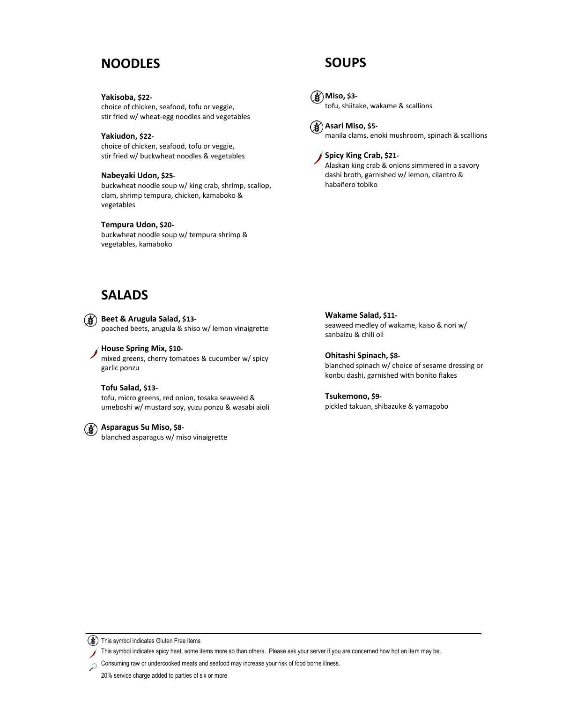# **NOODLES**

**Yakisoba, \$22-**

choice of chicken, seafood, tofu or veggie, stir fried w/ wheat-egg noodles and vegetables

**Yakiudon, \$22** choice of chicken, seafood, tofu or veggie, stir fried w/ buckwheat noodles & vegetables

### **Nabeyaki Udon, \$25-**

buckwheat noodle soup w/ king crab, shrimp, scallop, clam, shrimp tempura, chicken, kamaboko & vegetables

## **Tempura Udon, \$20-**

buckwheat noodle soup w/ tempura shrimp & vegetables, kamaboko

# **SALADS**

**Beet & Arugula Salad, \$13-**  $\mathbf{r}$ poached beets, arugula & shiso w/ lemon vinaigrette

**House Spring Mix, \$10** mixed greens, cherry tomatoes & cucumber w/ spicy garlic ponzu

**Tofu Salad, \$13** tofu, micro greens, red onion, tosaka seaweed & umeboshi w/ mustard soy, yuzu ponzu & wasabi aioli

# **Asparagus Su Miso, \$8-**

blanched asparagus w/ miso vinaigrette

**SOUPS**



**Miso, \$3** tofu, shiitake, wakame & scallions



manila clams, enoki mushroom, spinach & scallions



**Spicy King Crab, \$21-**

Alaskan king crab & onions simmered in a savory dashi broth, garnished w/ lemon, cilantro & habañero tobiko

**Wakame Salad, \$11** seaweed medley of wakame, kaiso & nori w/ sanbaizu & chili oil

**Ohitashi Spinach, \$8** blanched spinach w/ choice of sesame dressing or konbu dashi, garnished with bonito flakes

**Tsukemono, \$9** pickled takuan, shibazuke & yamagobo

(3) This symbol indicates Gluten Free items

This symbol indicates spicy heat, some items more so than others. Please ask your server if you are concerned how hot an item may be.

Consuming raw or undercooked meats and seafood may increase your risk of food borne illness.  $\mathcal{Q}$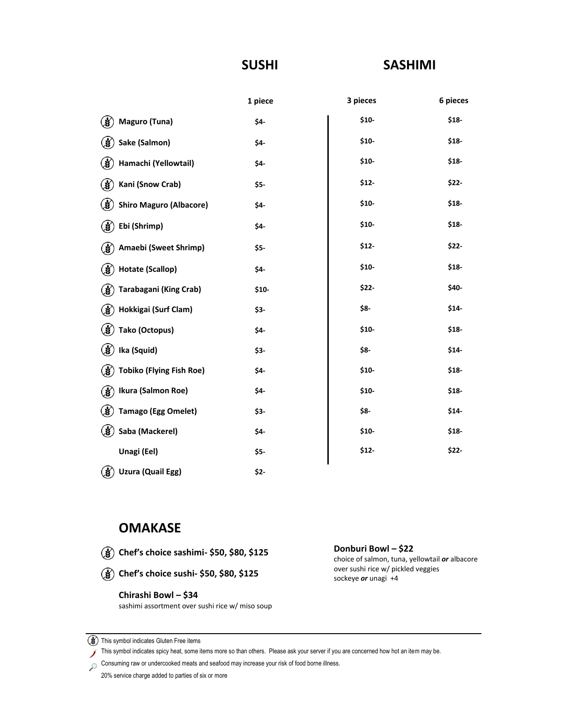# **SUSHI**

# **SASHIMI**

|                                       | 1 piece | 3 pieces | 6 pieces |
|---------------------------------------|---------|----------|----------|
| ❀<br>Maguro (Tuna)                    | \$4-    | $$10-$   | \$18     |
| (¥<br>Sake (Salmon)                   | \$4-    | $$10-$   | \$18     |
| ❀<br>Hamachi (Yellowtail)             | \$4-    | $$10-$   | \$18     |
| (≸)<br>Kani (Snow Crab)               | $$5-$   | $$12-$   | \$22-    |
| ⊛<br><b>Shiro Maguro (Albacore)</b>   | \$4-    | $$10-$   | \$18     |
| (∛<br>Ebi (Shrimp)                    | \$4-    | $$10-$   | \$18     |
| Amaebi (Sweet Shrimp)<br>⊛            | \$5-    | $$12-$   | \$22-    |
| ⋓<br>Hotate (Scallop)                 | \$4-    | $$10-$   | \$18     |
| Tarabagani (King Crab)<br>3           | $$10-$  | \$22-    | \$40-    |
| 3<br>Hokkigai (Surf Clam)             | \$3-    | \$8-     | \$14     |
| ⋓<br>Tako (Octopus)                   | \$4-    | $$10-$   | \$18     |
| (∛<br>Ika (Squid)                     | \$3-    | \$8-     | \$14     |
| હ∕<br><b>Tobiko (Flying Fish Roe)</b> | \$4-    | $$10-$   | \$18     |
| ⊛<br>Ikura (Salmon Roe)               | \$4-    | $$10-$   | \$18     |
| (∛<br>Tamago (Egg Omelet)             | \$3-    | \$8-     | \$14     |
| (∛<br>Saba (Mackerel)                 | \$4-    | $$10-$   | \$18     |
| Unagi (Eel)                           | \$5-    | \$12     | \$22-    |
| (3)<br>Uzura (Quail Egg)              | \$2-    |          |          |

# **OMAKASE**

- **Chef's choice sashimi- \$50, \$80, \$125**
- **Chef's choice sushi- \$50, \$80, \$125**

# **Chirashi Bowl – \$34**

sashimi assortment over sushi rice w/ miso soup

**Donburi Bowl – \$22** choice of salmon, tuna, yellowtail *or* albacore over sushi rice w/ pickled veggies

sockeye *or* unagi +4

Consuming raw or undercooked meats and seafood may increase your risk of food borne illness.

<sup>(</sup> $\circled{3}$ ) This symbol indicates Gluten Free items

This symbol indicates spicy heat, some items more so than others. Please ask your server if you are concerned how hot an item may be. X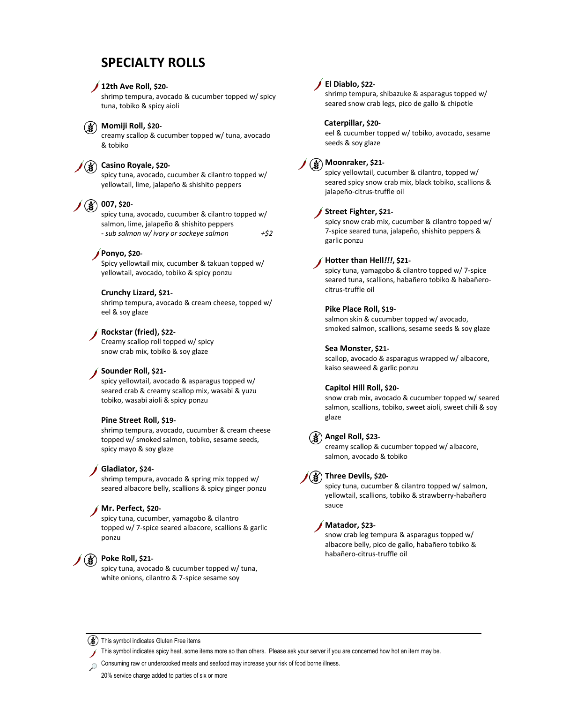# **SPECIALTY ROLLS**

### **12th Ave Roll, \$20-**

shrimp tempura, avocado & cucumber topped w/ spicy tuna, tobiko & spicy aioli

# **Momiji Roll, \$20-**

creamy scallop & cucumber topped w/ tuna, avocado & tobiko

# **Casino Royale, \$20-**

spicy tuna, avocado, cucumber & cilantro topped w/ yellowtail, lime, jalapeño & shishito peppers

# **007, \$20-**

spicy tuna, avocado, cucumber & cilantro topped w/ salmon, lime, jalapeño & shishito peppers *- sub salmon w/ ivory or sockeye salmon +\$2*

# **Ponyo, \$20-**

Spicy yellowtail mix, cucumber & takuan topped w/ yellowtail, avocado, tobiko & spicy ponzu

### **Crunchy Lizard, \$21-**

shrimp tempura, avocado & cream cheese, topped w/ eel & soy glaze

# **Rockstar (fried), \$22-**

Creamy scallop roll topped w/ spicy snow crab mix, tobiko & soy glaze

#### **Sounder Roll, \$21-**

spicy yellowtail, avocado & asparagus topped w/ seared crab & creamy scallop mix, wasabi & yuzu tobiko, wasabi aioli & spicy ponzu

### **Pine Street Roll, \$19-**

shrimp tempura, avocado, cucumber & cream cheese topped w/ smoked salmon, tobiko, sesame seeds, spicy mayo & soy glaze

#### **Gladiator, \$24-**

shrimp tempura, avocado & spring mix topped w/ seared albacore belly, scallions & spicy ginger ponzu

### **Mr. Perfect, \$20-**

spicy tuna, cucumber, yamagobo & cilantro topped w/ 7-spice seared albacore, scallions & garlic ponzu

# **Poke Roll, \$21-**

spicy tuna, avocado & cucumber topped w/ tuna, white onions, cilantro & 7-spice sesame soy

### **El Diablo, \$22-**

shrimp tempura, shibazuke & asparagus topped w/ seared snow crab legs, pico de gallo & chipotle

#### **Caterpillar, \$20-**

eel & cucumber topped w/ tobiko, avocado, sesame seeds & soy glaze

# **Moonraker, \$21-**

spicy yellowtail, cucumber & cilantro, topped w/ seared spicy snow crab mix, black tobiko, scallions & jalapeño-citrus-truffle oil

### **Street Fighter, \$21-**

spicy snow crab mix, cucumber & cilantro topped w/ 7-spice seared tuna, jalapeño, shishito peppers & garlic ponzu

## **Hotter than Hell***!!!***, \$21-**

spicy tuna, yamagobo & cilantro topped w/ 7-spice seared tuna, scallions, habañero tobiko & habañerocitrus-truffle oil

### **Pike Place Roll, \$19-**

salmon skin & cucumber topped w/ avocado, smoked salmon, scallions, sesame seeds & soy glaze

#### **Sea Monster, \$21-**

scallop, avocado & asparagus wrapped w/ albacore, kaiso seaweed & garlic ponzu

#### **Capitol Hill Roll, \$20-**

snow crab mix, avocado & cucumber topped w/ seared salmon, scallions, tobiko, sweet aioli, sweet chili & soy glaze

# **Angel Roll, \$23-**

creamy scallop & cucumber topped w/ albacore, salmon, avocado & tobiko



#### **Three Devils, \$20-**

spicy tuna, cucumber & cilantro topped w/ salmon, yellowtail, scallions, tobiko & strawberry-habañero sauce

## **Matador, \$23-**

snow crab leg tempura & asparagus topped w/ albacore belly, pico de gallo, habañero tobiko & habañero-citrus-truffle oil

(\) This symbol indicates Gluten Free items

This symbol indicates spicy heat, some items more so than others. Please ask your server if you are concerned how hot an item may be.

Consuming raw or undercooked meats and seafood may increase your risk of food borne illness.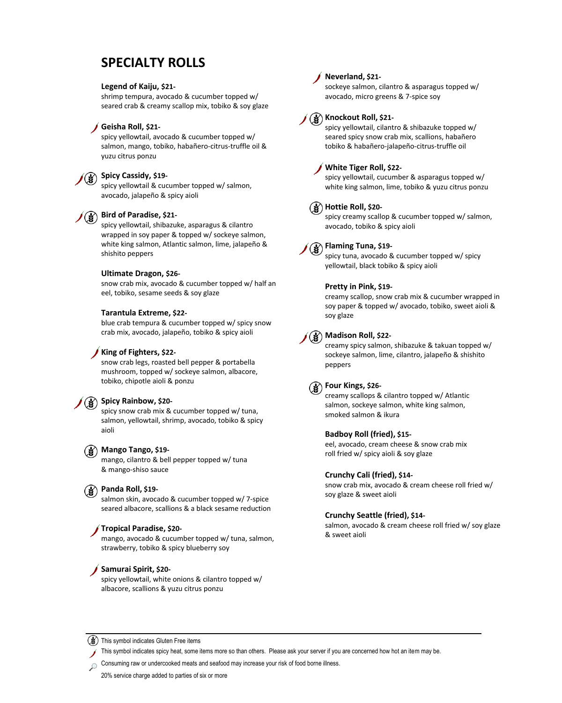# **SPECIALTY ROLLS**

### **Legend of Kaiju, \$21-**

shrimp tempura, avocado & cucumber topped w/ seared crab & creamy scallop mix, tobiko & soy glaze

### **Geisha Roll, \$21-**

spicy yellowtail, avocado & cucumber topped w/ salmon, mango, tobiko, habañero-citrus-truffle oil & yuzu citrus ponzu

# **Spicy Cassidy, \$19-**

spicy yellowtail & cucumber topped w/ salmon, avocado, jalapeño & spicy aioli

# **Bird of Paradise, \$21-**

spicy yellowtail, shibazuke, asparagus & cilantro wrapped in soy paper & topped w/ sockeye salmon, white king salmon, Atlantic salmon, lime, jalapeño & shishito peppers

### **Ultimate Dragon, \$26-**

snow crab mix, avocado & cucumber topped w/ half an eel, tobiko, sesame seeds & soy glaze

### **Tarantula Extreme, \$22-**

blue crab tempura & cucumber topped w/ spicy snow crab mix, avocado, jalapeño, tobiko & spicy aioli

### **King of Fighters, \$22-**

snow crab legs, roasted bell pepper & portabella mushroom, topped w/ sockeye salmon, albacore, tobiko, chipotle aioli & ponzu

# **Spicy Rainbow, \$20-**

spicy snow crab mix & cucumber topped w/ tuna, salmon, yellowtail, shrimp, avocado, tobiko & spicy aioli

## **Mango Tango, \$19-**

mango, cilantro & bell pepper topped w/ tuna & mango-shiso sauce

### **Panda Roll, \$19-**

salmon skin, avocado & cucumber topped w/ 7-spice seared albacore, scallions & a black sesame reduction

#### **Tropical Paradise, \$20-**

mango, avocado & cucumber topped w/ tuna, salmon, strawberry, tobiko & spicy blueberry soy

# **Samurai Spirit, \$20-**

spicy yellowtail, white onions & cilantro topped w/ albacore, scallions & yuzu citrus ponzu

# **Neverland, \$21-**

sockeye salmon, cilantro & asparagus topped w/ avocado, micro greens & 7-spice soy

# **Knockout Roll, \$21-**

spicy yellowtail, cilantro & shibazuke topped w/ seared spicy snow crab mix, scallions, habañero tobiko & habañero-jalapeño-citrus-truffle oil

### **White Tiger Roll, \$22-**

spicy yellowtail, cucumber & asparagus topped w/ white king salmon, lime, tobiko & yuzu citrus ponzu

## **Hottie Roll, \$20-**

spicy creamy scallop & cucumber topped w/ salmon, avocado, tobiko & spicy aioli



spicy tuna, avocado & cucumber topped w/ spicy yellowtail, black tobiko & spicy aioli

### **Pretty in Pink, \$19-**

creamy scallop, snow crab mix & cucumber wrapped in soy paper & topped w/ avocado, tobiko, sweet aioli & soy glaze

# **Madison Roll, \$22-**

creamy spicy salmon, shibazuke & takuan topped w/ sockeye salmon, lime, cilantro, jalapeño & shishito peppers

### **Four Kings, \$26-**

creamy scallops & cilantro topped w/ Atlantic salmon, sockeye salmon, white king salmon, smoked salmon & ikura

### **Badboy Roll (fried), \$15-**

eel, avocado, cream cheese & snow crab mix roll fried w/ spicy aioli & soy glaze

#### **Crunchy Cali (fried), \$14-**

snow crab mix, avocado & cream cheese roll fried w/ soy glaze & sweet aioli

#### **Crunchy Seattle (fried), \$14-**

salmon, avocado & cream cheese roll fried w/ soy glaze & sweet aioli

(\) This symbol indicates Gluten Free items

This symbol indicates spicy heat, some items more so than others. Please ask your server if you are concerned how hot an item may be.

Consuming raw or undercooked meats and seafood may increase your risk of food borne illness.